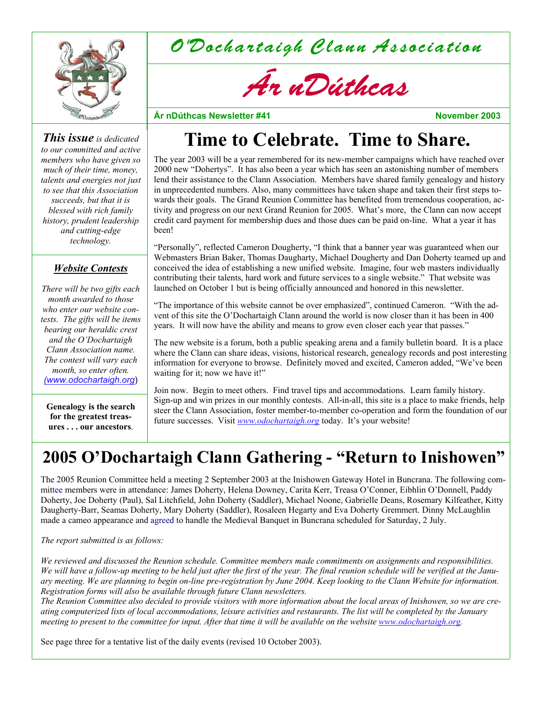

O'Dochartaigh Clann Association



**Ár nDúthcas Newsletter #41** 

**November 2003** 

*This issue is dedicated to our committed and active members who have given so much of their time, money, talents and energies not just to see that this Association succeeds, but that it is blessed with rich family history, prudent leadership and cutting-edge technology.*

# *Website Contests*

*There will be two gifts each month awarded to those who enter our website contests. The gifts will be items bearing our heraldic crest and the O'Dochartaigh Clann Association name. The contest will vary each month, so enter often. (www.odochartaigh.org*)

**Genealogy is the search for the greatest treasures . . . our ancestors**.

# **Time to Celebrate. Time to Share.**

The year 2003 will be a year remembered for its new-member campaigns which have reached over 2000 new "Dohertys". It has also been a year which has seen an astonishing number of members lend their assistance to the Clann Association. Members have shared family genealogy and history in unprecedented numbers. Also, many committees have taken shape and taken their first steps towards their goals. The Grand Reunion Committee has benefited from tremendous cooperation, activity and progress on our next Grand Reunion for 2005. What's more, the Clann can now accept credit card payment for membership dues and those dues can be paid on-line. What a year it has been!

"Personally", reflected Cameron Dougherty, "I think that a banner year was guaranteed when our Webmasters Brian Baker, Thomas Daugharty, Michael Dougherty and Dan Doherty teamed up and conceived the idea of establishing a new unified website. Imagine, four web masters individually contributing their talents, hard work and future services to a single website." That website was launched on October 1 but is being officially announced and honored in this newsletter.

"The importance of this website cannot be over emphasized", continued Cameron. "With the advent of this site the O'Dochartaigh Clann around the world is now closer than it has been in 400 years. It will now have the ability and means to grow even closer each year that passes."

The new website is a forum, both a public speaking arena and a family bulletin board. It is a place where the Clann can share ideas, visions, historical research, genealogy records and post interesting information for everyone to browse. Definitely moved and excited, Cameron added, "We've been waiting for it; now we have it!"

Join now. Begin to meet others. Find travel tips and accommodations. Learn family history. Sign-up and win prizes in our monthly contests. All-in-all, this site is a place to make friends, help steer the Clann Association, foster member-to-member co-operation and form the foundation of our future successes. Visit *www.odochartaigh.org* today. It's your website!

# **2005 O'Dochartaigh Clann Gathering - "Return to Inishowen"**

The 2005 Reunion Committee held a meeting 2 September 2003 at the Inishowen Gateway Hotel in Buncrana. The following committee members were in attendance: James Doherty, Helena Downey, Carita Kerr, Treasa O'Conner, Eibhlin O'Donnell, Paddy Doherty, Joe Doherty (Paul), Sal Litchfield, John Doherty (Saddler), Michael Noone, Gabrielle Deans, Rosemary Kilfeather, Kitty Daugherty-Barr, Seamas Doherty, Mary Doherty (Saddler), Rosaleen Hegarty and Eva Doherty Gremmert. Dinny McLaughlin made a cameo appearance and agreed to handle the Medieval Banquet in Buncrana scheduled for Saturday, 2 July.

# *The report submitted is as follows:*

*We reviewed and discussed the Reunion schedule. Committee members made commitments on assignments and responsibilities. We will have a follow-up meeting to be held just after the first of the year. The final reunion schedule will be verified at the January meeting. We are planning to begin on-line pre-registration by June 2004. Keep looking to the Clann Website for information. Registration forms will also be available through future Clann newsletters.* 

*The Reunion Committee also decided to provide visitors with more information about the local areas of Inishowen, so we are creating computerized lists of local accommodations, leisure activities and restaurants. The list will be completed by the January meeting to present to the committee for input. After that time it will be available on the website www.odochartaigh.org.* 

See page three for a tentative list of the daily events (revised 10 October 2003).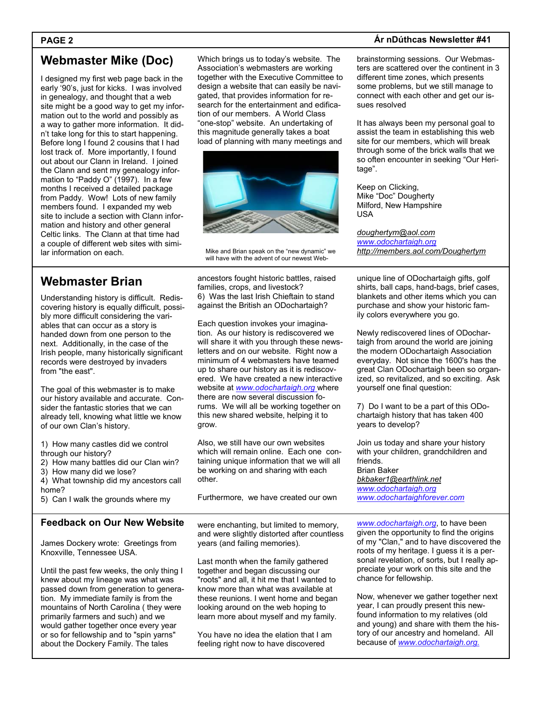## **PAGE 2**

# **Webmaster Mike (Doc)**

I designed my first web page back in the early '90's, just for kicks. I was involved in genealogy, and thought that a web site might be a good way to get my information out to the world and possibly as a way to gather more information. It didn't take long for this to start happening. Before long I found 2 cousins that I had lost track of. More importantly, I found out about our Clann in Ireland. I joined the Clann and sent my genealogy information to "Paddy O" (1997). In a few months I received a detailed package from Paddy. Wow! Lots of new family members found. I expanded my web site to include a section with Clann information and history and other general Celtic links. The Clann at that time had a couple of different web sites with similar information on each.

# **Webmaster Brian**

Understanding history is difficult. Rediscovering history is equally difficult, possibly more difficult considering the variables that can occur as a story is handed down from one person to the next. Additionally, in the case of the Irish people, many historically significant records were destroyed by invaders from "the east".

The goal of this webmaster is to make our history available and accurate. Consider the fantastic stories that we can already tell, knowing what little we know of our own Clan's history.

- 1) How many castles did we control through our history?
- 2) How many battles did our Clan win?
- 3) How many did we lose?

4) What township did my ancestors call home?

5) Can I walk the grounds where my

# **Feedback on Our New Website**

James Dockery wrote: Greetings from Knoxville, Tennessee USA.

Until the past few weeks, the only thing I knew about my lineage was what was passed down from generation to generation. My immediate family is from the mountains of North Carolina ( they were primarily farmers and such) and we would gather together once every year or so for fellowship and to "spin yarns" about the Dockery Family. The tales

Which brings us to today's website. The Association's webmasters are working together with the Executive Committee to design a website that can easily be navigated, that provides information for research for the entertainment and edification of our members. A World Class "one-stop" website. An undertaking of this magnitude generally takes a boat load of planning with many meetings and



Mike and Brian speak on the "new dynamic" we will have with the advent of our newest Web-

ancestors fought historic battles, raised families, crops, and livestock? 6) Was the last Irish Chieftain to stand against the British an ODochartaigh?

Each question invokes your imagination. As our history is rediscovered we will share it with you through these newsletters and on our website. Right now a minimum of 4 webmasters have teamed up to share our history as it is rediscovered. We have created a new interactive website at *www.odochartaigh.org* where there are now several discussion forums. We will all be working together on this new shared website, helping it to grow.

Also, we still have our own websites which will remain online. Each one containing unique information that we will all be working on and sharing with each other.

Furthermore, we have created our own

were enchanting, but limited to memory, and were slightly distorted after countless years (and failing memories).

Last month when the family gathered together and began discussing our "roots" and all, it hit me that I wanted to know more than what was available at these reunions. I went home and began looking around on the web hoping to learn more about myself and my family.

You have no idea the elation that I am feeling right now to have discovered

## **Ár nDúthcas Newsletter #41**

brainstorming sessions. Our Webmasters are scattered over the continent in 3 different time zones, which presents some problems, but we still manage to connect with each other and get our issues resolved

It has always been my personal goal to assist the team in establishing this web site for our members, which will break through some of the brick walls that we so often encounter in seeking "Our Heritage".

Keep on Clicking, Mike "Doc" Dougherty Milford, New Hampshire USA

*doughertym@aol.com www.odochartaigh.org http://members.aol.com/Doughertym*

unique line of ODochartaigh gifts, golf shirts, ball caps, hand-bags, brief cases, blankets and other items which you can purchase and show your historic family colors everywhere you go.

Newly rediscovered lines of ODochartaigh from around the world are joining the modern ODochartaigh Association everyday. Not since the 1600's has the great Clan ODochartaigh been so organized, so revitalized, and so exciting. Ask yourself one final question:

7) Do I want to be a part of this ODochartaigh history that has taken 400 years to develop?

Join us today and share your history with your children, grandchildren and friends. Brian Baker *bkbaker1@earthlink.net www.odochartaigh.org www.odochartaighforever.com*

*www.odochartaigh.org*, to have been given the opportunity to find the origins of my "Clan," and to have discovered the roots of my heritage. I guess it is a personal revelation, of sorts, but I really appreciate your work on this site and the chance for fellowship.

Now, whenever we gather together next year, I can proudly present this newfound information to my relatives (old and young) and share with them the history of our ancestry and homeland. All because of *www.odochartaigh.org.*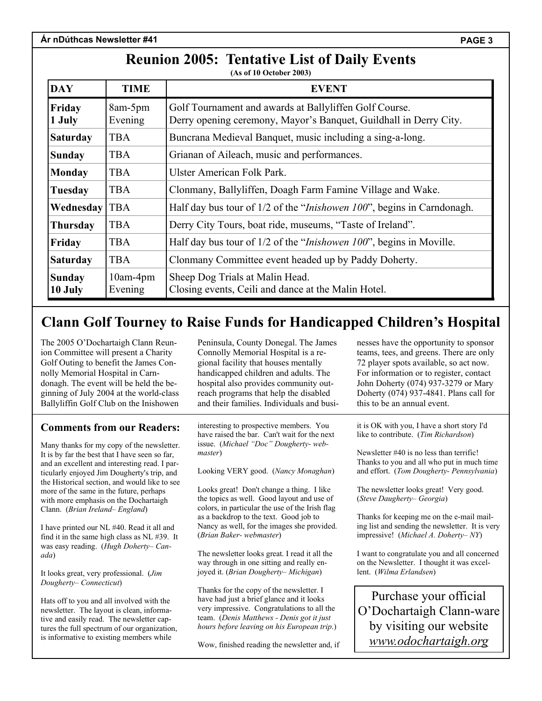**PAGE 3** 

# **Reunion 2005: Tentative List of Daily Events**

**(As of 10 October 2003)**

| <b>DAY</b>               | <b>TIME</b>           | <b>EVENT</b>                                                                                                                |  |  |
|--------------------------|-----------------------|-----------------------------------------------------------------------------------------------------------------------------|--|--|
| Friday<br>1 July         | 8am-5pm<br>Evening    | Golf Tournament and awards at Ballyliffen Golf Course.<br>Derry opening ceremony, Mayor's Banquet, Guildhall in Derry City. |  |  |
| <b>Saturday</b>          | <b>TBA</b>            | Buncrana Medieval Banquet, music including a sing-a-long.                                                                   |  |  |
| <b>Sunday</b>            | <b>TBA</b>            | Grianan of Aileach, music and performances.                                                                                 |  |  |
| <b>Monday</b>            | <b>TBA</b>            | Ulster American Folk Park.                                                                                                  |  |  |
| Tuesday                  | <b>TBA</b>            | Clonmany, Ballyliffen, Doagh Farm Famine Village and Wake.                                                                  |  |  |
| Wednesday                | <b>TBA</b>            | Half day bus tour of 1/2 of the " <i>Inishowen 100</i> ", begins in Carndonagh.                                             |  |  |
| <b>Thursday</b>          | <b>TBA</b>            | Derry City Tours, boat ride, museums, "Taste of Ireland".                                                                   |  |  |
| Friday                   | <b>TBA</b>            | Half day bus tour of 1/2 of the " <i>Inishowen 100</i> ", begins in Moville.                                                |  |  |
| <b>Saturday</b>          | <b>TBA</b>            | Clonmany Committee event headed up by Paddy Doherty.                                                                        |  |  |
| <b>Sunday</b><br>10 July | $10am-4pm$<br>Evening | Sheep Dog Trials at Malin Head.<br>Closing events, Ceili and dance at the Malin Hotel.                                      |  |  |

# **Clann Golf Tourney to Raise Funds for Handicapped Children's Hospital**

The 2005 O'Dochartaigh Clann Reunion Committee will present a Charity Golf Outing to benefit the James Connolly Memorial Hospital in Carndonagh. The event will be held the beginning of July 2004 at the world-class Ballyliffin Golf Club on the Inishowen

# **Comments from our Readers:**

Many thanks for my copy of the newsletter. It is by far the best that I have seen so far, and an excellent and interesting read. I particularly enjoyed Jim Dougherty's trip, and the Historical section, and would like to see more of the same in the future, perhaps with more emphasis on the Dochartaigh Clann. (*Brian Ireland– England*)

I have printed our NL #40. Read it all and find it in the same high class as NL #39. It was easy reading. (*Hugh Doherty– Canada*)

It looks great, very professional. (*Jim Dougherty– Connecticut*)

Hats off to you and all involved with the newsletter. The layout is clean, informative and easily read. The newsletter captures the full spectrum of our organization, is informative to existing members while

Peninsula, County Donegal. The James Connolly Memorial Hospital is a regional facility that houses mentally handicapped children and adults. The hospital also provides community outreach programs that help the disabled and their families. Individuals and busi-

interesting to prospective members. You have raised the bar. Can't wait for the next issue. (*Michael "Doc" Dougherty- webmaster*)

Looking VERY good. (*Nancy Monaghan*)

Looks great! Don't change a thing. I like the topics as well. Good layout and use of colors, in particular the use of the Irish flag as a backdrop to the text. Good job to Nancy as well, for the images she provided. (*Brian Baker- webmaster*)

The newsletter looks great. I read it all the way through in one sitting and really enjoyed it. (*Brian Dougherty– Michigan*)

Thanks for the copy of the newsletter. I have had just a brief glance and it looks very impressive. Congratulations to all the team. (*Denis Matthews - Denis got it just hours before leaving on his European trip*.)

Wow, finished reading the newsletter and, if

nesses have the opportunity to sponsor teams, tees, and greens. There are only 72 player spots available, so act now. For information or to register, contact John Doherty (074) 937-3279 or Mary Doherty (074) 937-4841. Plans call for this to be an annual event.

it is OK with you, I have a short story I'd like to contribute. (*Tim Richardson*)

Newsletter #40 is no less than terrific! Thanks to you and all who put in much time and effort. (*Tom Dougherty- Pennsylvania*)

The newsletter looks great! Very good. (*Steve Daugherty– Georgia*)

Thanks for keeping me on the e-mail mailing list and sending the newsletter. It is very impressive! (*Michael A. Doherty– NY*)

I want to congratulate you and all concerned on the Newsletter. I thought it was excellent. (*Wilma Erlandsen*)

Purchase your official O'Dochartaigh Clann-ware by visiting our website *www.odochartaigh.org*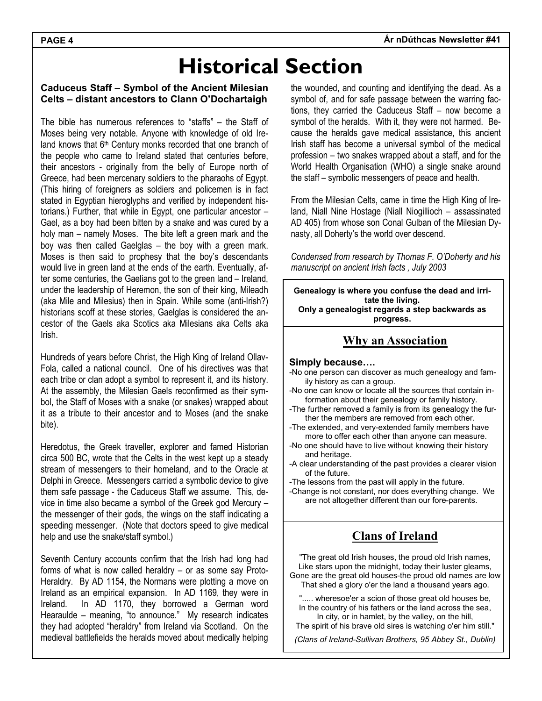# **Historical Section**

# **Caduceus Staff – Symbol of the Ancient Milesian Celts – distant ancestors to Clann O'Dochartaigh**

The bible has numerous references to "staffs" – the Staff of Moses being very notable. Anyone with knowledge of old Ireland knows that 6<sup>th</sup> Century monks recorded that one branch of the people who came to Ireland stated that centuries before, their ancestors - originally from the belly of Europe north of Greece, had been mercenary soldiers to the pharaohs of Egypt. (This hiring of foreigners as soldiers and policemen is in fact stated in Egyptian hieroglyphs and verified by independent historians.) Further, that while in Egypt, one particular ancestor – Gael, as a boy had been bitten by a snake and was cured by a holy man – namely Moses. The bite left a green mark and the boy was then called Gaelglas – the boy with a green mark. Moses is then said to prophesy that the boy's descendants would live in green land at the ends of the earth. Eventually, after some centuries, the Gaelians got to the green land – Ireland, under the leadership of Heremon, the son of their king, Mileadh (aka Mile and Milesius) then in Spain. While some (anti-Irish?) historians scoff at these stories. Gaelglas is considered the ancestor of the Gaels aka Scotics aka Milesians aka Celts aka Irish.

Hundreds of years before Christ, the High King of Ireland Ollav-Fola, called a national council. One of his directives was that each tribe or clan adopt a symbol to represent it, and its history. At the assembly, the Milesian Gaels reconfirmed as their symbol, the Staff of Moses with a snake (or snakes) wrapped about it as a tribute to their ancestor and to Moses (and the snake bite).

Heredotus, the Greek traveller, explorer and famed Historian circa 500 BC, wrote that the Celts in the west kept up a steady stream of messengers to their homeland, and to the Oracle at Delphi in Greece. Messengers carried a symbolic device to give them safe passage - the Caduceus Staff we assume. This, device in time also became a symbol of the Greek god Mercury – the messenger of their gods, the wings on the staff indicating a speeding messenger. (Note that doctors speed to give medical help and use the snake/staff symbol.)

Seventh Century accounts confirm that the Irish had long had forms of what is now called heraldry – or as some say Proto-Heraldry. By AD 1154, the Normans were plotting a move on Ireland as an empirical expansion. In AD 1169, they were in Ireland. In AD 1170, they borrowed a German word Hearaulde – meaning, "to announce." My research indicates they had adopted "heraldry" from Ireland via Scotland. On the medieval battlefields the heralds moved about medically helping

the wounded, and counting and identifying the dead. As a symbol of, and for safe passage between the warring factions, they carried the Caduceus Staff – now become a symbol of the heralds. With it, they were not harmed. Because the heralds gave medical assistance, this ancient Irish staff has become a universal symbol of the medical profession – two snakes wrapped about a staff, and for the World Health Organisation (WHO) a single snake around the staff – symbolic messengers of peace and health.

From the Milesian Celts, came in time the High King of Ireland, Niall Nine Hostage (Niall Niogillioch – assassinated AD 405) from whose son Conal Gulban of the Milesian Dynasty, all Doherty's the world over descend.

*Condensed from research by Thomas F. O'Doherty and his manuscript on ancient Irish facts , July 2003*

**Genealogy is where you confuse the dead and irritate the living. Only a genealogist regards a step backwards as progress.**

# **Why an Association**

# **Simply because….**

- -No one person can discover as much genealogy and family history as can a group.
- -No one can know or locate all the sources that contain information about their genealogy or family history.
- -The further removed a family is from its genealogy the further the members are removed from each other.
- -The extended, and very-extended family members have more to offer each other than anyone can measure.
- -No one should have to live without knowing their history and heritage.
- -A clear understanding of the past provides a clearer vision of the future.
- -The lessons from the past will apply in the future.
- -Change is not constant, nor does everything change. We are not altogether different than our fore-parents.

# **Clans of Ireland**

"The great old Irish houses, the proud old Irish names, Like stars upon the midnight, today their luster gleams, Gone are the great old houses-the proud old names are low That shed a glory o'er the land a thousand years ago.

"..... wheresoe'er a scion of those great old houses be, In the country of his fathers or the land across the sea, In city, or in hamlet, by the valley, on the hill,

The spirit of his brave old sires is watching o'er him still."

*(Clans of Ireland-Sullivan Brothers, 95 Abbey St., Dublin)*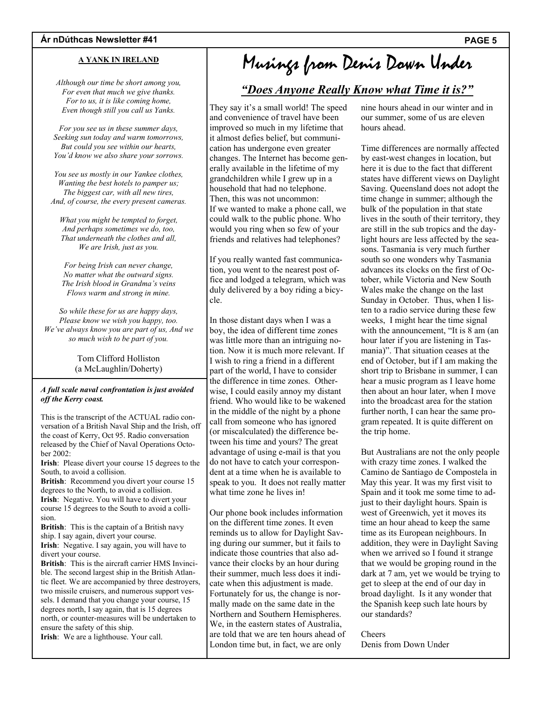## **A YANK IN IRELAND**

*Although our time be short among you, For even that much we give thanks. For to us, it is like coming home, Even though still you call us Yanks.* 

*For you see us in these summer days, Seeking sun today and warm tomorrows, But could you see within our hearts, You'd know we also share your sorrows.* 

*You see us mostly in our Yankee clothes, Wanting the best hotels to pamper us; The biggest car, with all new tires, And, of course, the every present cameras.* 

*What you might be tempted to forget, And perhaps sometimes we do, too, That underneath the clothes and all, We are Irish, just as you.* 

*For being Irish can never change, No matter what the outward signs. The Irish blood in Grandma's veins Flows warm and strong in mine.* 

*So while these for us are happy days, Please know we wish you happy, too. We've always know you are part of us, And we so much wish to be part of you.* 

> Tom Clifford Holliston (a McLaughlin/Doherty)

### *A full scale naval confrontation is just avoided off the Kerry coast.*

This is the transcript of the ACTUAL radio conversation of a British Naval Ship and the Irish, off the coast of Kerry, Oct 95. Radio conversation released by the Chief of Naval Operations October 2002:

**Irish**: Please divert your course 15 degrees to the South, to avoid a collision.

**British**: Recommend you divert your course 15 degrees to the North, to avoid a collision. **Irish**: Negative. You will have to divert your

course 15 degrees to the South to avoid a collision.

**British**: This is the captain of a British navy ship. I say again, divert your course.

**Irish**: Negative. I say again, you will have to divert your course.

**British**: This is the aircraft carrier HMS Invincible. The second largest ship in the British Atlantic fleet. We are accompanied by three destroyers, two missile cruisers, and numerous support vessels. I demand that you change your course, 15 degrees north, I say again, that is 15 degrees north, or counter-measures will be undertaken to ensure the safety of this ship.

**Irish**: We are a lighthouse. Your call.

# Musings from Denis Down Under

# *"Does Anyone Really Know what Time it is?"*

They say it's a small world! The speed and convenience of travel have been improved so much in my lifetime that it almost defies belief, but communication has undergone even greater changes. The Internet has become generally available in the lifetime of my grandchildren while I grew up in a household that had no telephone. Then, this was not uncommon: If we wanted to make a phone call, we could walk to the public phone. Who would you ring when so few of your friends and relatives had telephones?

If you really wanted fast communication, you went to the nearest post office and lodged a telegram, which was duly delivered by a boy riding a bicycle.

In those distant days when I was a boy, the idea of different time zones was little more than an intriguing notion. Now it is much more relevant. If I wish to ring a friend in a different part of the world, I have to consider the difference in time zones. Otherwise, I could easily annoy my distant friend. Who would like to be wakened in the middle of the night by a phone call from someone who has ignored (or miscalculated) the difference between his time and yours? The great advantage of using e-mail is that you do not have to catch your correspondent at a time when he is available to speak to you. It does not really matter what time zone he lives in!

Our phone book includes information on the different time zones. It even reminds us to allow for Daylight Saving during our summer, but it fails to indicate those countries that also advance their clocks by an hour during their summer, much less does it indicate when this adjustment is made. Fortunately for us, the change is normally made on the same date in the Northern and Southern Hemispheres. We, in the eastern states of Australia, are told that we are ten hours ahead of London time but, in fact, we are only

nine hours ahead in our winter and in our summer, some of us are eleven hours ahead.

Time differences are normally affected by east-west changes in location, but here it is due to the fact that different states have different views on Daylight Saving. Queensland does not adopt the time change in summer; although the bulk of the population in that state lives in the south of their territory, they are still in the sub tropics and the daylight hours are less affected by the seasons. Tasmania is very much further south so one wonders why Tasmania advances its clocks on the first of October, while Victoria and New South Wales make the change on the last Sunday in October. Thus, when I listen to a radio service during these few weeks, I might hear the time signal with the announcement, "It is 8 am (an hour later if you are listening in Tasmania)". That situation ceases at the end of October, but if I am making the short trip to Brisbane in summer, I can hear a music program as I leave home then about an hour later, when I move into the broadcast area for the station further north, I can hear the same program repeated. It is quite different on the trip home.

But Australians are not the only people with crazy time zones. I walked the Camino de Santiago de Compostela in May this year. It was my first visit to Spain and it took me some time to adjust to their daylight hours. Spain is west of Greenwich, yet it moves its time an hour ahead to keep the same time as its European neighbours. In addition, they were in Daylight Saving when we arrived so I found it strange that we would be groping round in the dark at 7 am, yet we would be trying to get to sleep at the end of our day in broad daylight. Is it any wonder that the Spanish keep such late hours by our standards?

### Cheers

Denis from Down Under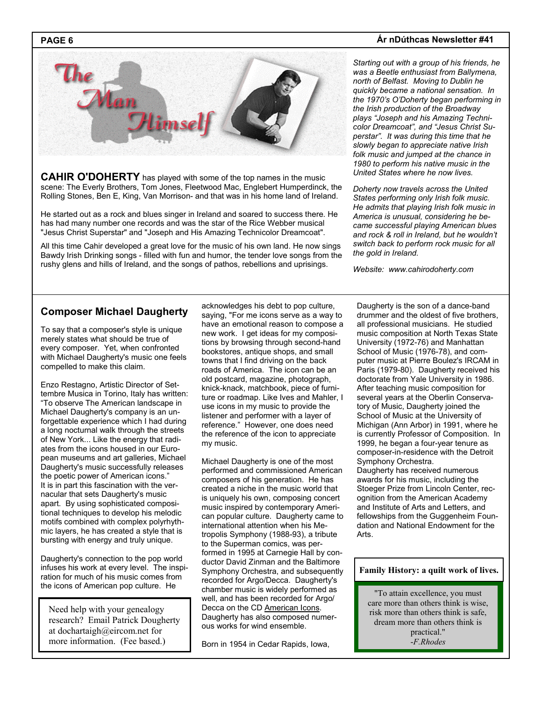## **PAGE 6**



**CAHIR O'DOHERTY** has played with some of the top names in the music scene: The Everly Brothers, Tom Jones, Fleetwood Mac, Englebert Humperdinck, the Rolling Stones, Ben E, King, Van Morrison- and that was in his home land of Ireland.

He started out as a rock and blues singer in Ireland and soared to success there. He has had many number one records and was the star of the Rice Webber musical "Jesus Christ Superstar" and "Joseph and His Amazing Technicolor Dreamcoat".

All this time Cahir developed a great love for the music of his own land. He now sings Bawdy Irish Drinking songs - filled with fun and humor, the tender love songs from the rushy glens and hills of Ireland, and the songs of pathos, rebellions and uprisings.

## **Ár nDúthcas Newsletter #41**

*Starting out with a group of his friends, he was a Beetle enthusiast from Ballymena, north of Belfast. Moving to Dublin he quickly became a national sensation. In the 1970's O'Doherty began performing in the Irish production of the Broadway plays "Joseph and his Amazing Technicolor Dreamcoat", and "Jesus Christ Superstar". It was during this time that he slowly began to appreciate native Irish folk music and jumped at the chance in 1980 to perform his native music in the United States where he now lives.* 

*Doherty now travels across the United States performing only Irish folk music. He admits that playing Irish folk music in America is unusual, considering he became successful playing American blues and rock & roll in Ireland, but he wouldn't switch back to perform rock music for all the gold in Ireland.* 

*Website: www.cahirodoherty.com*

# **Composer Michael Daugherty**

To say that a composer's style is unique merely states what should be true of every composer. Yet, when confronted with Michael Daugherty's music one feels compelled to make this claim.

Enzo Restagno, Artistic Director of Settembre Musica in Torino, Italy has written: "To observe The American landscape in Michael Daugherty's company is an unforgettable experience which I had during a long nocturnal walk through the streets of New York... Like the energy that radiates from the icons housed in our European museums and art galleries, Michael Daugherty's music successfully releases the poetic power of American icons." It is in part this fascination with the vernacular that sets Daugherty's music apart. By using sophisticated compositional techniques to develop his melodic motifs combined with complex polyrhythmic layers, he has created a style that is bursting with energy and truly unique.

Daugherty's connection to the pop world infuses his work at every level. The inspiration for much of his music comes from the icons of American pop culture. He

Need help with your genealogy research? Email Patrick Dougherty at dochartaigh@eircom.net for more information. (Fee based.)

acknowledges his debt to pop culture, saying, "For me icons serve as a way to have an emotional reason to compose a new work. I get ideas for my compositions by browsing through second-hand bookstores, antique shops, and small towns that I find driving on the back roads of America. The icon can be an old postcard, magazine, photograph, knick-knack, matchbook, piece of furniture or roadmap. Like Ives and Mahler, I use icons in my music to provide the listener and performer with a layer of reference." However, one does need the reference of the icon to appreciate my music.

Michael Daugherty is one of the most performed and commissioned American composers of his generation. He has created a niche in the music world that is uniquely his own, composing concert music inspired by contemporary American popular culture. Daugherty came to international attention when his Metropolis Symphony (1988-93), a tribute to the Superman comics, was performed in 1995 at Carnegie Hall by conductor David Zinman and the Baltimore Symphony Orchestra, and subsequently recorded for Argo/Decca. Daugherty's chamber music is widely performed as well, and has been recorded for Argo/ Decca on the CD American Icons. Daugherty has also composed numerous works for wind ensemble.

Born in 1954 in Cedar Rapids, Iowa,

Daugherty is the son of a dance-band drummer and the oldest of five brothers, all professional musicians. He studied music composition at North Texas State University (1972-76) and Manhattan School of Music (1976-78), and computer music at Pierre Boulez's IRCAM in Paris (1979-80). Daugherty received his doctorate from Yale University in 1986. After teaching music composition for several years at the Oberlin Conservatory of Music, Daugherty joined the School of Music at the University of Michigan (Ann Arbor) in 1991, where he is currently Professor of Composition. In 1999, he began a four-year tenure as composer-in-residence with the Detroit Symphony Orchestra. Daugherty has received numerous

awards for his music, including the Stoeger Prize from Lincoln Center, recognition from the American Academy and Institute of Arts and Letters, and fellowships from the Guggenheim Foundation and National Endowment for the Arts.

## **Family History: a quilt work of lives.**

"To attain excellence, you must care more than others think is wise, risk more than others think is safe, dream more than others think is practical." -*F.Rhodes*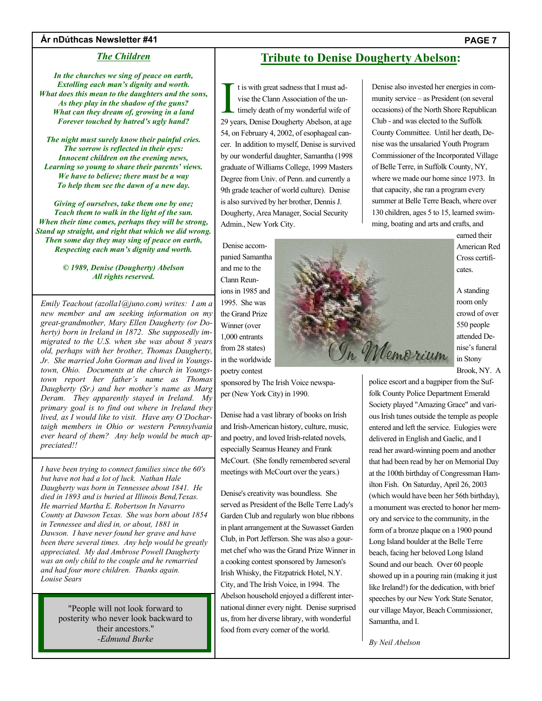# *The Children*

*In the churches we sing of peace on earth, Extolling each man's dignity and worth. What does this mean to the daughters and the sons, As they play in the shadow of the guns? What can they dream of, growing in a land Forever touched by hatred's ugly hand?* 

*The night must surely know their painful cries. The sorrow is reflected in their eyes: Innocent children on the evening news, Learning so young to share their parents' views. We have to believe; there must be a way To help them see the dawn of a new day.* 

*Giving of ourselves, take them one by one; Teach them to walk in the light of the sun. When their time comes, perhaps they will be strong, Stand up straight, and right that which we did wrong. Then some day they may sing of peace on earth, Respecting each man's dignity and worth.* 

### *© 1989, Denise (Dougherty) Abelson All rights reserved.*

*Emily Teachout (azolla1@juno.com) writes: I am a new member and am seeking information on my great-grandmother, Mary Ellen Daugherty (or Doherty) born in Ireland in 1872. She supposedly immigrated to the U.S. when she was about 8 years old, perhaps with her brother, Thomas Daugherty, Jr. She married John Gorman and lived in Youngstown, Ohio. Documents at the church in Youngstown report her father's name as Thomas Daugherty (Sr.) and her mother's name as Marg Deram. They apparently stayed in Ireland. My primary goal is to find out where in Ireland they lived, as I would like to visit. Have any O'Dochartaigh members in Ohio or western Pennsylvania ever heard of them? Any help would be much appreciated!!* 

*I have been trying to connect families since the 60's but have not had a lot of luck. Nathan Hale Daugherty was born in Tennessee about 1841. He died in 1893 and is buried at Illinois Bend,Texas. He married Martha E. Robertson In Navarro County at Dawson Texas. She was born about 1854 in Tennessee and died in, or about, 1881 in Dawson. I have never found her grave and have been there several times. Any help would be greatly appreciated. My dad Ambrose Powell Daugherty was an only child to the couple and he remarried and had four more children. Thanks again. Louise Sears* 

"People will not look forward to posterity who never look backward to their ancestors." *-Edmund Burke* 

# **Tribute to Denise Dougherty Abelson:**

It is with great sadness that I must advise the Clann Association of the untimely death of my wonderful wife of 29 years, Denise Dougherty Abelson, at age t is with great sadness that I must advise the Clann Association of the untimely death of my wonderful wife of 54, on February 4, 2002, of esophageal cancer. In addition to myself, Denise is survived by our wonderful daughter, Samantha (1998 graduate of Williams College, 1999 Masters Degree from Univ. of Penn. and currently a 9th grade teacher of world culture). Denise is also survived by her brother, Dennis J. Dougherty, Area Manager, Social Security Admin., New York City.

 Denise accompanied Samantha and me to the Clann Reunions in 1985 and 1995. She was the Grand Prize Winner (over 1,000 entrants from 28 states) in the worldwide poetry contest

sponsored by The Irish Voice newspaper (New York City) in 1990.

Denise had a vast library of books on Irish and Irish-American history, culture, music, and poetry, and loved Irish-related novels, especially Seamus Heaney and Frank McCourt. (She fondly remembered several meetings with McCourt over the years.)

Denise's creativity was boundless. She served as President of the Belle Terre Lady's Garden Club and regularly won blue ribbons in plant arrangement at the Suwasset Garden Club, in Port Jefferson. She was also a gourmet chef who was the Grand Prize Winner in a cooking contest sponsored by Jameson's Irish Whisky, the Fitzpatrick Hotel, N.Y. City, and The Irish Voice, in 1994. The Abelson household enjoyed a different international dinner every night. Denise surprised us, from her diverse library, with wonderful food from every corner of the world.

Denise also invested her energies in community service – as President (on several occasions) of the North Shore Republican Club - and was elected to the Suffolk County Committee. Until her death, Denise was the unsalaried Youth Program Commissioner of the Incorporated Village of Belle Terre, in Suffolk County, NY, where we made our home since 1973. In that capacity, she ran a program every summer at Belle Terre Beach, where over 130 children, ages 5 to 15, learned swimming, boating and arts and crafts, and

> earned their American Red Cross certificates.

A standing room only crowd of over 550 people attended Denise's funeral in Stony

Brook, NY. A police escort and a bagpiper from the Suf-

folk County Police Department Emerald Society played "Amazing Grace" and various Irish tunes outside the temple as people entered and left the service. Eulogies were delivered in English and Gaelic, and I read her award-winning poem and another that had been read by her on Memorial Day at the 100th birthday of Congressman Hamilton Fish. On Saturday, April 26, 2003 (which would have been her 56th birthday), a monument was erected to honor her memory and service to the community, in the form of a bronze plaque on a 1900 pound Long Island boulder at the Belle Terre beach, facing her beloved Long Island Sound and our beach. Over 60 people showed up in a pouring rain (making it just like Ireland!) for the dedication, with brief speeches by our New York State Senator, our village Mayor, Beach Commissioner, Samantha, and I.

*By Neil Abelson*

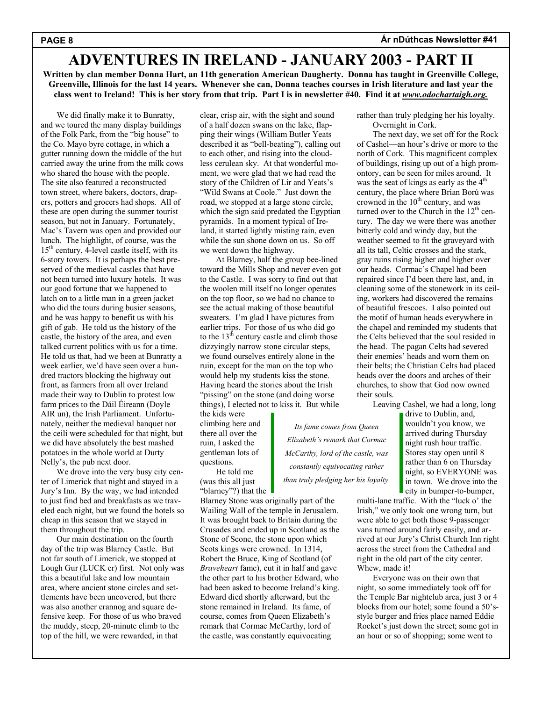## **PAGE 8**

# **ADVENTURES IN IRELAND - JANUARY 2003 - PART II**

**Written by clan member Donna Hart, an 11th generation American Daugherty. Donna has taught in Greenville College, Greenville, Illinois for the last 14 years. Whenever she can, Donna teaches courses in Irish literature and last year the class went to Ireland! This is her story from that trip. Part I is in newsletter #40. Find it at** *www.odochartaigh.org.*

We did finally make it to Bunratty, and we toured the many display buildings of the Folk Park, from the "big house" to the Co. Mayo byre cottage, in which a gutter running down the middle of the hut carried away the urine from the milk cows who shared the house with the people. The site also featured a reconstructed town street, where bakers, doctors, drapers, potters and grocers had shops. All of these are open during the summer tourist season, but not in January. Fortunately, Mac's Tavern was open and provided our lunch. The highlight, of course, was the  $15<sup>th</sup>$  century, 4-level castle itself, with its 6-story towers. It is perhaps the best preserved of the medieval castles that have not been turned into luxury hotels. It was our good fortune that we happened to latch on to a little man in a green jacket who did the tours during busier seasons, and he was happy to benefit us with his gift of gab. He told us the history of the castle, the history of the area, and even talked current politics with us for a time. He told us that, had we been at Bunratty a week earlier, we'd have seen over a hundred tractors blocking the highway out front, as farmers from all over Ireland made their way to Dublin to protest low farm prices to the Dáil Éireann (Doyle AIR un), the Irish Parliament. Unfortunately, neither the medieval banquet nor the ceili were scheduled for that night, but we did have absolutely the best mashed potatoes in the whole world at Durty Nelly's, the pub next door.

We drove into the very busy city center of Limerick that night and stayed in a Jury's Inn. By the way, we had intended to just find bed and breakfasts as we traveled each night, but we found the hotels so cheap in this season that we stayed in them throughout the trip.

Our main destination on the fourth day of the trip was Blarney Castle. But not far south of Limerick, we stopped at Lough Gur (LUCK er) first. Not only was this a beautiful lake and low mountain area, where ancient stone circles and settlements have been uncovered, but there was also another crannog and square defensive keep. For those of us who braved the muddy, steep, 20-minute climb to the top of the hill, we were rewarded, in that

clear, crisp air, with the sight and sound of a half dozen swans on the lake, flapping their wings (William Butler Yeats described it as "bell-beating"), calling out to each other, and rising into the cloudless cerulean sky. At that wonderful moment, we were glad that we had read the story of the Children of Lir and Yeats's "Wild Swans at Coole." Just down the road, we stopped at a large stone circle, which the sign said predated the Egyptian pyramids. In a moment typical of Ireland, it started lightly misting rain, even while the sun shone down on us. So off we went down the highway.

At Blarney, half the group bee-lined toward the Mills Shop and never even got to the Castle. I was sorry to find out that the woolen mill itself no longer operates on the top floor, so we had no chance to see the actual making of those beautiful sweaters. I'm glad I have pictures from earlier trips. For those of us who did go to the  $13<sup>th</sup>$  century castle and climb those dizzyingly narrow stone circular steps, we found ourselves entirely alone in the ruin, except for the man on the top who would help my students kiss the stone. Having heard the stories about the Irish "pissing" on the stone (and doing worse things), I elected not to kiss it. But while

the kids were climbing here and there all over the ruin, I asked the gentleman lots of questions.

He told me (was this all just "blarney"?) that the

Blarney Stone was originally part of the Wailing Wall of the temple in Jerusalem. It was brought back to Britain during the Crusades and ended up in Scotland as the Stone of Scone, the stone upon which Scots kings were crowned. In 1314, Robert the Bruce, King of Scotland (of *Braveheart* fame), cut it in half and gave the other part to his brother Edward, who had been asked to become Ireland's king. Edward died shortly afterward, but the stone remained in Ireland. Its fame, of course, comes from Queen Elizabeth's remark that Cormac McCarthy, lord of the castle, was constantly equivocating

rather than truly pledging her his loyalty. Overnight in Cork.

The next day, we set off for the Rock of Cashel—an hour's drive or more to the north of Cork. This magnificent complex of buildings, rising up out of a high promontory, can be seen for miles around. It was the seat of kings as early as the  $4<sup>th</sup>$ century, the place where Brian Ború was crowned in the  $10<sup>th</sup>$  century, and was turned over to the Church in the  $12<sup>th</sup>$  century. The day we were there was another bitterly cold and windy day, but the weather seemed to fit the graveyard with all its tall, Celtic crosses and the stark, gray ruins rising higher and higher over our heads. Cormac's Chapel had been repaired since I'd been there last, and, in cleaning some of the stonework in its ceiling, workers had discovered the remains of beautiful frescoes. I also pointed out the motif of human heads everywhere in the chapel and reminded my students that the Celts believed that the soul resided in the head. The pagan Celts had severed their enemies' heads and worn them on their belts; the Christian Celts had placed heads over the doors and arches of their churches, to show that God now owned their souls.

Leaving Cashel, we had a long, long

drive to Dublin, and, wouldn't you know, we arrived during Thursday night rush hour traffic. Stores stay open until 8 rather than 6 on Thursday night, so EVERYONE was in town. We drove into the city in bumper-to-bumper,

multi-lane traffic. With the "luck o' the Irish," we only took one wrong turn, but were able to get both those 9-passenger vans turned around fairly easily, and arrived at our Jury's Christ Church Inn right across the street from the Cathedral and right in the old part of the city center. Whew, made it!

Everyone was on their own that night, so some immediately took off for the Temple Bar nightclub area, just 3 or 4 blocks from our hotel; some found a 50'sstyle burger and fries place named Eddie Rocket's just down the street; some got in an hour or so of shopping; some went to

*Its fame comes from Queen Elizabeth's remark that Cormac McCarthy, lord of the castle, was constantly equivocating rather than truly pledging her his loyalty.*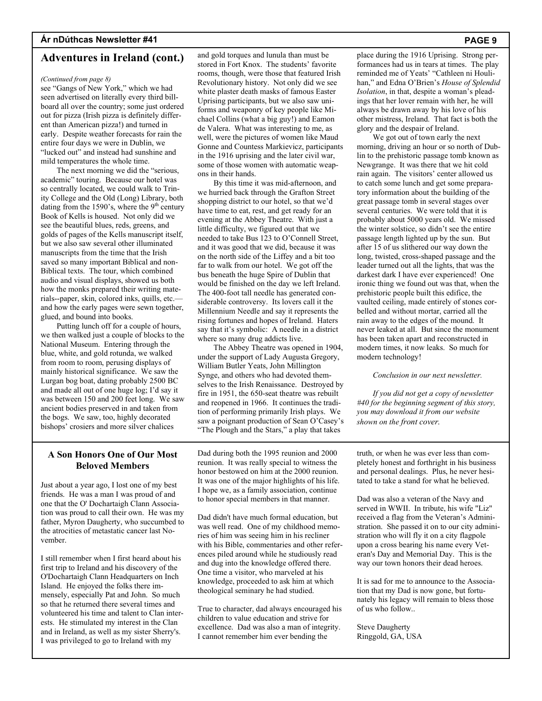# **Adventures in Ireland (cont.)**

### *(Continued from page 8)*

see "Gangs of New York," which we had seen advertised on literally every third billboard all over the country; some just ordered out for pizza (Irish pizza is definitely different than American pizza!) and turned in early. Despite weather forecasts for rain the entire four days we were in Dublin, we "lucked out" and instead had sunshine and mild temperatures the whole time.

The next morning we did the "serious, academic" touring. Because our hotel was so centrally located, we could walk to Trinity College and the Old (Long) Library, both dating from the 1590's, where the  $9<sup>th</sup>$  century Book of Kells is housed. Not only did we see the beautiful blues, reds, greens, and golds of pages of the Kells manuscript itself, but we also saw several other illuminated manuscripts from the time that the Irish saved so many important Biblical and non-Biblical texts. The tour, which combined audio and visual displays, showed us both how the monks prepared their writing materials--paper, skin, colored inks, quills, etc. and how the early pages were sewn together, glued, and bound into books.

Putting lunch off for a couple of hours, we then walked just a couple of blocks to the National Museum. Entering through the blue, white, and gold rotunda, we walked from room to room, perusing displays of mainly historical significance. We saw the Lurgan bog boat, dating probably 2500 BC and made all out of one huge log; I'd say it was between 150 and 200 feet long. We saw ancient bodies preserved in and taken from the bogs. We saw, too, highly decorated bishops' crosiers and more silver chalices

and gold torques and lunula than must be stored in Fort Knox. The students' favorite rooms, though, were those that featured Irish Revolutionary history. Not only did we see white plaster death masks of famous Easter Uprising participants, but we also saw uniforms and weaponry of key people like Michael Collins (what a big guy!) and Eamon de Valera. What was interesting to me, as well, were the pictures of women like Maud Gonne and Countess Markievicz, participants in the 1916 uprising and the later civil war, some of those women with automatic weapons in their hands.

By this time it was mid-afternoon, and we hurried back through the Grafton Street shopping district to our hotel, so that we'd have time to eat, rest, and get ready for an evening at the Abbey Theatre. With just a little difficulty, we figured out that we needed to take Bus 123 to O'Connell Street, and it was good that we did, because it was on the north side of the Liffey and a bit too far to walk from our hotel. We got off the bus beneath the huge Spire of Dublin that would be finished on the day we left Ireland. The 400-foot tall needle has generated considerable controversy. Its lovers call it the Millennium Needle and say it represents the rising fortunes and hopes of Ireland. Haters say that it's symbolic: A needle in a district where so many drug addicts live.

The Abbey Theatre was opened in 1904, under the support of Lady Augusta Gregory, William Butler Yeats, John Millington Synge, and others who had devoted themselves to the Irish Renaissance. Destroyed by fire in 1951, the 650-seat theatre was rebuilt and reopened in 1966. It continues the tradition of performing primarily Irish plays. We saw a poignant production of Sean O'Casey's "The Plough and the Stars," a play that takes

place during the 1916 Uprising. Strong performances had us in tears at times. The play reminded me of Yeats' "Cathleen ni Houlihan," and Edna O'Brien's *House of Splendid Isolation*, in that, despite a woman's pleadings that her lover remain with her, he will always be drawn away by his love of his other mistress, Ireland. That fact is both the glory and the despair of Ireland.

We got out of town early the next morning, driving an hour or so north of Dublin to the prehistoric passage tomb known as Newgrange. It was there that we hit cold rain again. The visitors' center allowed us to catch some lunch and get some preparatory information about the building of the great passage tomb in several stages over several centuries. We were told that it is probably about 5000 years old. We missed the winter solstice, so didn't see the entire passage length lighted up by the sun. But after 15 of us slithered our way down the long, twisted, cross-shaped passage and the leader turned out all the lights, that was the darkest dark I have ever experienced! One ironic thing we found out was that, when the prehistoric people built this edifice, the vaulted ceiling, made entirely of stones corbelled and without mortar, carried all the rain away to the edges of the mound. It never leaked at all. But since the monument has been taken apart and reconstructed in modern times, it now leaks. So much for modern technology!

### *Conclusion in our next newsletter.*

*If you did not get a copy of newsletter #40 for the beginning segment of this story, you may download it from our website shown on the front cover.* 

# **A Son Honors One of Our Most Beloved Members**

Just about a year ago, I lost one of my best friends. He was a man I was proud of and one that the O' Dochartaigh Clann Association was proud to call their own. He was my father, Myron Daugherty, who succumbed to the atrocities of metastatic cancer last November.

I still remember when I first heard about his first trip to Ireland and his discovery of the O'Dochartaigh Clann Headquarters on Inch Island. He enjoyed the folks there immensely, especially Pat and John. So much so that he returned there several times and volunteered his time and talent to Clan interests. He stimulated my interest in the Clan and in Ireland, as well as my sister Sherry's. I was privileged to go to Ireland with my

Dad during both the 1995 reunion and 2000 reunion. It was really special to witness the honor bestowed on him at the 2000 reunion. It was one of the major highlights of his life. I hope we, as a family association, continue to honor special members in that manner.

Dad didn't have much formal education, but was well read. One of my childhood memories of him was seeing him in his recliner with his Bible, commentaries and other references piled around while he studiously read and dug into the knowledge offered there. One time a visitor, who marveled at his knowledge, proceeded to ask him at which theological seminary he had studied.

True to character, dad always encouraged his children to value education and strive for excellence. Dad was also a man of integrity. I cannot remember him ever bending the

truth, or when he was ever less than completely honest and forthright in his business and personal dealings. Plus, he never hesitated to take a stand for what he believed.

Dad was also a veteran of the Navy and served in WWII. In tribute, his wife "Liz" received a flag from the Veteran's Administration. She passed it on to our city administration who will fly it on a city flagpole upon a cross bearing his name every Veteran's Day and Memorial Day. This is the way our town honors their dead heroes.

It is sad for me to announce to the Association that my Dad is now gone, but fortunately his legacy will remain to bless those of us who follow..

Steve Daugherty Ringgold, GA, USA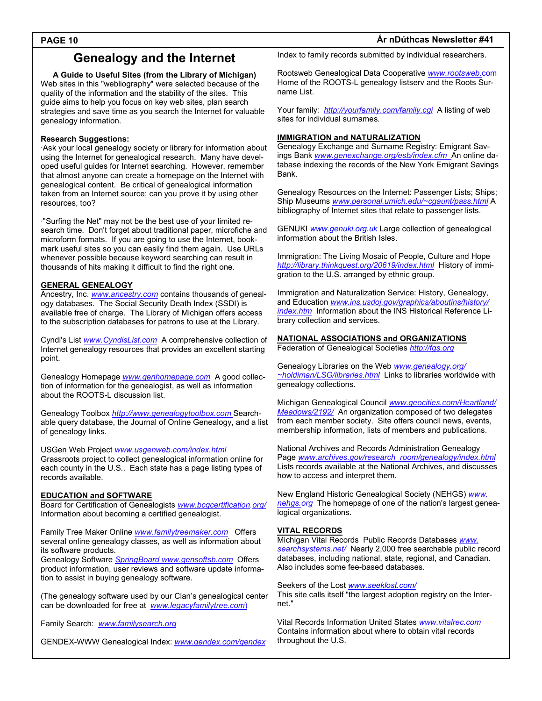# **Genealogy and the Internet**

**A Guide to Useful Sites (from the Library of Michigan)**

Web sites in this "webliography" were selected because of the quality of the information and the stability of the sites. This guide aims to help you focus on key web sites, plan search strategies and save time as you search the Internet for valuable genealogy information.

# **Research Suggestions:**

·Ask your local genealogy society or library for information about using the Internet for genealogical research. Many have developed useful guides for Internet searching. However, remember that almost anyone can create a homepage on the Internet with genealogical content. Be critical of genealogical information taken from an Internet source; can you prove it by using other resources, too?

·"Surfing the Net" may not be the best use of your limited research time. Don't forget about traditional paper, microfiche and microform formats. If you are going to use the Internet, bookmark useful sites so you can easily find them again. Use URLs whenever possible because keyword searching can result in thousands of hits making it difficult to find the right one.

# **GENERAL GENEALOGY**

Ancestry, Inc. *www.ancestry.com* contains thousands of genealogy databases. The Social Security Death Index (SSDI) is available free of charge. The Library of Michigan offers access to the subscription databases for patrons to use at the Library.

Cyndi's List *www.CyndisList.com* A comprehensive collection of Internet genealogy resources that provides an excellent starting point.

Genealogy Homepage *www.genhomepage.com* A good collection of information for the genealogist, as well as information about the ROOTS-L discussion list.

Genealogy Toolbox *http://www.genealogytoolbox.com* Searchable query database, the Journal of Online Genealogy, and a list of genealogy links.

## USGen Web Project *www.usgenweb.com/index.html*

Grassroots project to collect genealogical information online for each county in the U.S.. Each state has a page listing types of records available.

# **EDUCATION and SOFTWARE**

Board for Certification of Genealogists *www.bcgcertification.org/* Information about becoming a certified genealogist.

Family Tree Maker Online *www.familytreemaker.com* Offers several online genealogy classes, as well as information about its software products.

Genealogy Software *SpringBoard www.gensoftsb.com* Offers product information, user reviews and software update information to assist in buying genealogy software.

(The genealogy software used by our Clan's genealogical center can be downloaded for free at *www.legacyfamilytree.com*)

Family Search: *www.familysearch.org*

GENDEX-WWW Genealogical Index: *www.gendex.com/gendex* 

**PAGE 10 Ár nDúthcas Newsletter #41**

Index to family records submitted by individual researchers.

Rootsweb Genealogical Data Cooperative *www.rootsweb.*com Home of the ROOTS-L genealogy listserv and the Roots Surname List.

Your family: *http://yourfamily.com/family.cgi* A listing of web sites for individual surnames.

# **IMMIGRATION and NATURALIZATION**

Genealogy Exchange and Surname Registry: Emigrant Savings Bank *www.genexchange.org/esb/index.cfm* An online database indexing the records of the New York Emigrant Savings Bank.

Genealogy Resources on the Internet: Passenger Lists; Ships; Ship Museums *www.personal.umich.edu/~cgaunt/pass.html* A bibliography of Internet sites that relate to passenger lists.

GENUKI *www.genuki.org.uk* Large collection of genealogical information about the British Isles.

Immigration: The Living Mosaic of People, Culture and Hope *http://library.thinkquest.org/20619/index.html* History of immigration to the U.S. arranged by ethnic group.

Immigration and Naturalization Service: History, Genealogy, and Education *www.ins.usdoj.gov/graphics/aboutins/history/ index.htm* Information about the INS Historical Reference Library collection and services.

### **NATIONAL ASSOCIATIONS and ORGANIZATIONS** Federation of Genealogical Societies *http://fgs.org*

Genealogy Libraries on the Web *www.genealogy.org/ ~holdiman/LSG/libraries.html* Links to libraries worldwide with genealogy collections.

Michigan Genealogical Council *www.geocities.com/Heartland/ Meadows/2192/* An organization composed of two delegates from each member society. Site offers council news, events, membership information, lists of members and publications.

National Archives and Records Administration Genealogy Page *www.archives.gov/research\_room/genealogy/index.html* Lists records available at the National Archives, and discusses how to access and interpret them.

New England Historic Genealogical Society (NEHGS) *www. nehgs.org* The homepage of one of the nation's largest genealogical organizations.

## **VITAL RECORDS**

Michigan Vital Records Public Records Databases *www. searchsystems.net/* Nearly 2,000 free searchable public record databases, including national, state, regional, and Canadian. Also includes some fee-based databases.

Seekers of the Lost *www.seeklost.com/*

This site calls itself "the largest adoption registry on the Internet."

Vital Records Information United States *www.vitalrec.com* Contains information about where to obtain vital records throughout the U.S.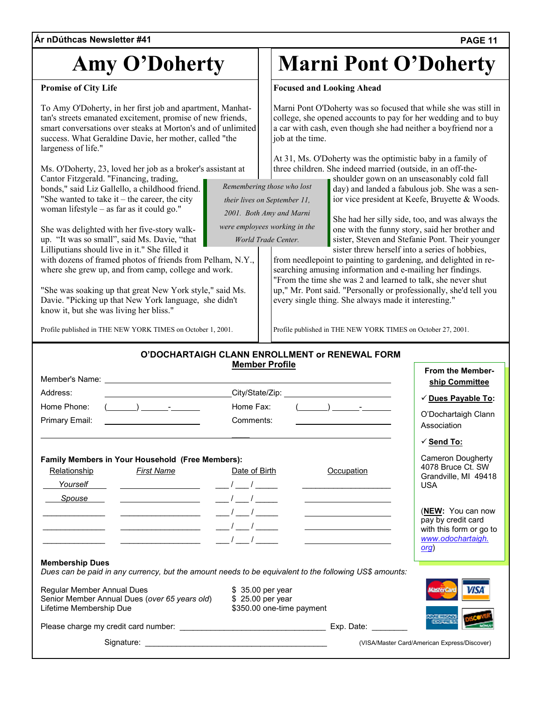# **Amy O'Doherty**

# **Promise of City Life**

To Amy O'Doherty, in her first job and apartment, Manhattan's streets emanated excitement, promise of new friends, smart conversations over steaks at Morton's and of unlimited success. What Geraldine Davie, her mother, called "the largeness of life."

Ms. O'Doherty, 23, loved her job as a broker's assistant at Cantor Fitzgerald. "Financing, trading,

bonds," said Liz Gallello, a childhood friend. "She wanted to take  $it$  – the career, the city woman lifestyle – as far as it could go."

She was delighted with her five-story walkup. "It was so small", said Ms. Davie, "that Lilliputians should live in it." She filled it

with dozens of framed photos of friends from Pelham, N.Y., where she grew up, and from camp, college and work.

"She was soaking up that great New York style," said Ms. Davie. "Picking up that New York language, she didn't know it, but she was living her bliss."

Profile published in THE NEW YORK TIMES on October 1, 2001.

# **Marni Pont O'Doherty**

**Focused and Looking Ahead** 

Marni Pont O'Doherty was so focused that while she was still in college, she opened accounts to pay for her wedding and to buy a car with cash, even though she had neither a boyfriend nor a job at the time.

At 31, Ms. O'Doherty was the optimistic baby in a family of three children. She indeed married (outside, in an off-the-

shoulder gown on an unseasonably cold fall day) and landed a fabulous job. She was a senior vice president at Keefe, Bruyette & Woods.

She had her silly side, too, and was always the one with the funny story, said her brother and sister, Steven and Stefanie Pont. Their younger sister threw herself into a series of hobbies,

**From the Member-**

from needlepoint to painting to gardening, and delighted in researching amusing information and e-mailing her findings. "From the time she was 2 and learned to talk, she never shut up," Mr. Pont said. "Personally or professionally, she'd tell you every single thing. She always made it interesting."

Profile published in THE NEW YORK TIMES on October 27, 2001.

# **O'DOCHARTAIGH CLANN ENROLLMENT or RENEWAL FORM Member Profile**

*Remembering those who lost their lives on September 11, 2001. Both Amy and Marni were employees working in the World Trade Center.* 

|                                                                                                                                                                                                                                       |                                                                                                                                                                                                                                                                                                                                                                                                                                                         |                                                                                           | ship Committee                                                                                  |
|---------------------------------------------------------------------------------------------------------------------------------------------------------------------------------------------------------------------------------------|---------------------------------------------------------------------------------------------------------------------------------------------------------------------------------------------------------------------------------------------------------------------------------------------------------------------------------------------------------------------------------------------------------------------------------------------------------|-------------------------------------------------------------------------------------------|-------------------------------------------------------------------------------------------------|
| Address:                                                                                                                                                                                                                              |                                                                                                                                                                                                                                                                                                                                                                                                                                                         |                                                                                           | √ Dues Payable To:                                                                              |
| $(\underline{\hspace{1cm}})$ $\underline{\hspace{1cm}}$<br>Home Phone:                                                                                                                                                                | Home Fax:                                                                                                                                                                                                                                                                                                                                                                                                                                               | $(\underline{\hspace{1cm}})$ $\underline{\hspace{1cm}}$                                   |                                                                                                 |
| Primary Email:<br><u> 1990 - Johann Barbara, martin a</u>                                                                                                                                                                             | Comments:                                                                                                                                                                                                                                                                                                                                                                                                                                               |                                                                                           | O'Dochartaigh Clann<br>Association                                                              |
|                                                                                                                                                                                                                                       |                                                                                                                                                                                                                                                                                                                                                                                                                                                         |                                                                                           | $\sqrt{\frac{1}{10}}$ Send To:                                                                  |
| Family Members in Your Household (Free Members):<br>Relationship<br><u>First Name</u>                                                                                                                                                 | Date of Birth                                                                                                                                                                                                                                                                                                                                                                                                                                           | Occupation                                                                                | Cameron Dougherty<br>4078 Bruce Ct. SW<br>Grandville, MI 49418                                  |
| Yourself                                                                                                                                                                                                                              | $\frac{1}{1-\frac{1}{1-\frac{1}{1-\frac{1}{1-\frac{1}{1-\frac{1}{1-\frac{1}{1-\frac{1}{1-\frac{1}{1-\frac{1}{1-\frac{1}{1-\frac{1}{1-\frac{1}{1-\frac{1}{1-\frac{1}{1-\frac{1}{1-\frac{1}{1-\frac{1}{1-\frac{1}{1-\frac{1}{1-\frac{1}{1-\frac{1}{1-\frac{1}{1-\frac{1}{1-\frac{1}{1-\frac{1}{1-\frac{1}{1-\frac{1}{1-\frac{1}{1-\frac{1}{1-\frac{1}{1-\frac{1}{1-\frac{1}{1-\frac{1}{1-\frac{1}{1-\frac{1}{1-\frac{1$                                   | the control of the control of the control of the control of the control of the control of | <b>USA</b>                                                                                      |
| Spouse $\qquad \qquad$ $\qquad \qquad$<br><u> Alexandria (m. 1858)</u><br><u> 1990 - Johann Barbara, martin eta politikar</u><br>the control of the control of the control of the control of the control of<br><b>Membership Dues</b> | $\frac{1}{1-\frac{1}{1-\frac{1}{1-\frac{1}{1-\frac{1}{1-\frac{1}{1-\frac{1}{1-\frac{1}{1-\frac{1}{1-\frac{1}{1-\frac{1}{1-\frac{1}{1-\frac{1}{1-\frac{1}{1-\frac{1}{1-\frac{1}{1-\frac{1}{1-\frac{1}{1-\frac{1}{1-\frac{1}{1-\frac{1}{1-\frac{1}{1-\frac{1}{1-\frac{1}{1-\frac{1}{1-\frac{1}{1-\frac{1}{1-\frac{1}{1-\frac{1}{1-\frac{1}{1-\frac{1}{1-\frac{1}{1-\frac{1}{1-\frac{1}{1-\frac{1}{1-\frac{1}{1-\frac{1$<br>$\frac{1}{1}$<br>$\frac{1}{2}$ | <u> The Communication of the Communication of</u>                                         | (NEW: You can now<br>pay by credit card<br>with this form or go to<br>www.odochartaigh.<br>org) |
| Dues can be paid in any currency, but the amount needs to be equivalent to the following US\$ amounts:                                                                                                                                |                                                                                                                                                                                                                                                                                                                                                                                                                                                         |                                                                                           |                                                                                                 |
| Regular Member Annual Dues<br>Senior Member Annual Dues (over 65 years old) \$25.00 per year<br>Lifetime Membership Due                                                                                                               | \$ 35.00 per year<br>\$350.00 one-time payment                                                                                                                                                                                                                                                                                                                                                                                                          |                                                                                           | VISA<br>MasterCar                                                                               |
|                                                                                                                                                                                                                                       |                                                                                                                                                                                                                                                                                                                                                                                                                                                         |                                                                                           |                                                                                                 |
|                                                                                                                                                                                                                                       |                                                                                                                                                                                                                                                                                                                                                                                                                                                         | (VISA/Master Card/American Express/Discover)                                              |                                                                                                 |